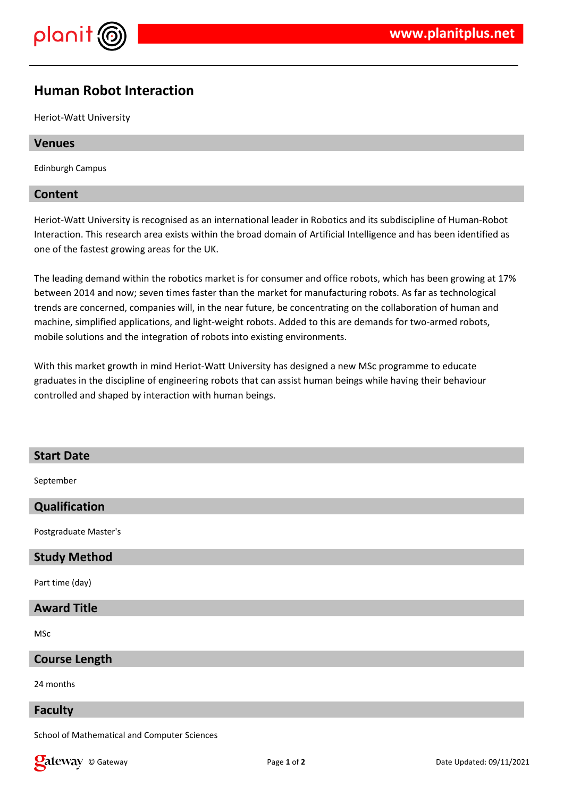

# **Human Robot Interaction**

Heriot-Watt University

# **Venues**

Edinburgh Campus

# **Content**

Heriot-Watt University is recognised as an international leader in Robotics and its subdiscipline of Human-Robot Interaction. This research area exists within the broad domain of Artificial Intelligence and has been identified as one of the fastest growing areas for the UK.

The leading demand within the robotics market is for consumer and office robots, which has been growing at 17% between 2014 and now; seven times faster than the market for manufacturing robots. As far as technological trends are concerned, companies will, in the near future, be concentrating on the collaboration of human and machine, simplified applications, and light-weight robots. Added to this are demands for two-armed robots, mobile solutions and the integration of robots into existing environments.

With this market growth in mind Heriot-Watt University has designed a new MSc programme to educate graduates in the discipline of engineering robots that can assist human beings while having their behaviour controlled and shaped by interaction with human beings.

#### **Start Date**

September

# **Qualification**

Postgraduate Master's

#### **Study Method**

Part time (day)

# **Award Title**

MSc

#### **Course Length**

24 months

#### **Faculty**

School of Mathematical and Computer Sciences